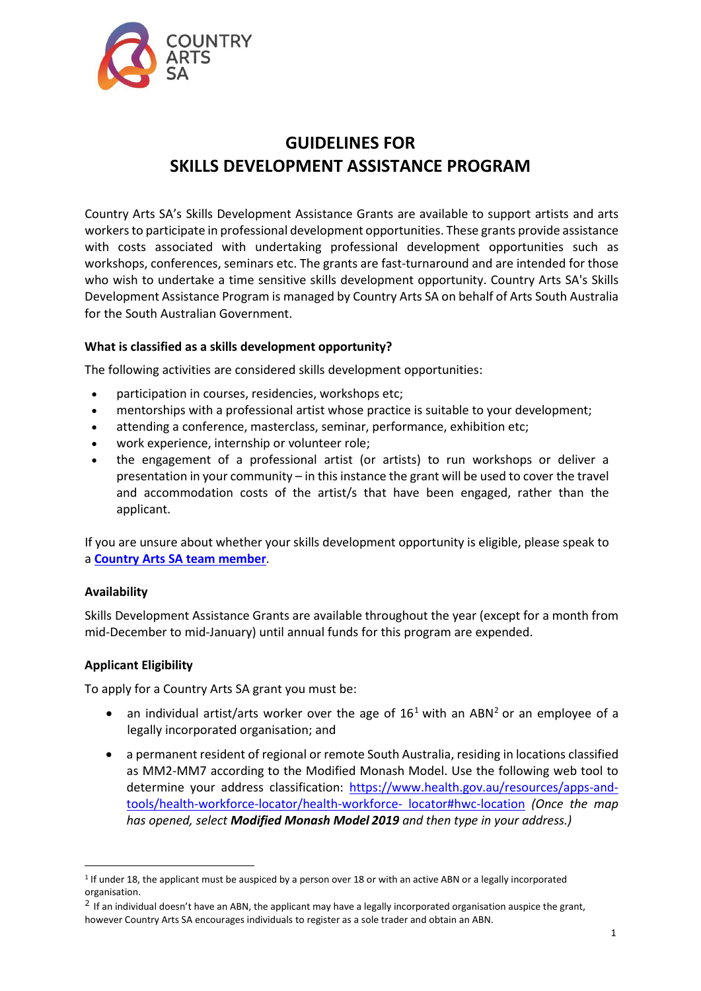

# **GUIDELINES FOR SKILLS DEVELOPMENT ASSISTANCE PROGRAM**

Country Arts SA's Skills Development Assistance Grants are available to support artists and arts workers to participate in professional development opportunities. These grants provide assistance with costs associated with undertaking professional development opportunities such as workshops, conferences, seminars etc. The grants are fast-turnaround and are intended for those who wish to undertake a time sensitive skills development opportunity. Country Arts SA's Skills Development Assistance Program is managed by Country Arts SA on behalf of Arts South Australia for the South Australian Government.

# **What is classified as a skills development opportunity?**

The following activities are considered skills development opportunities:

- participation in courses, residencies, workshops etc;
- mentorships with a professional artist whose practice is suitable to your development;
- attending a conference, masterclass, seminar, performance, exhibition etc;
- work experience, internship or volunteer role;
- the engagement of a professional artist (or artists) to run workshops or deliver a presentation in your community – in this instance the grant will be used to cover the travel and accommodation costs of the artist/s that have been engaged, rather than the applicant.

If you are unsure about whether your skills development opportunity is eligible, please speak to a **[Country Arts SA team member](https://www.countryarts.org.au/grants/grants-contacts/)**.

# **Availability**

Skills Development Assistance Grants are available throughout the year (except for a month from mid-December to mid-January) until annual funds for this program are expended.

# **Applicant Eligibility**

To apply for a Country Arts SA grant you must be:

- an individual artist/arts worker over the age of  $16<sup>1</sup>$  $16<sup>1</sup>$  with an ABN<sup>[2](#page-0-1)</sup> or an employee of a legally incorporated organisation; and
- a permanent resident of regional or remote South Australia, residing in locations classified as MM2-MM7 according to the Modified Monash Model. Use the following web tool to determine your address classification: [https://www.health.gov.au/resources/apps-and](https://www.health.gov.au/resources/apps-and-tools/health-workforce-locator/health-workforce-)[tools/health-workforce-locator/health-workforce-](https://www.health.gov.au/resources/apps-and-tools/health-workforce-locator/health-workforce-) [locator#hwc-location](https://www.health.gov.au/resources/apps-and-tools/health-workforce-locator/health-workforce-locator#hwc-location) *(Once the map has opened, select Modified Monash Model 2019 and then type in your address.)*

<span id="page-0-0"></span><sup>1</sup> If under 18, the applicant must be auspiced by a person over 18 or with an active ABN or a legally incorporated organisation.

<span id="page-0-1"></span> $2$  If an individual doesn't have an ABN, the applicant may have a legally incorporated organisation auspice the grant, however Country Arts SA encourages individuals to register as a sole trader and obtain an ABN.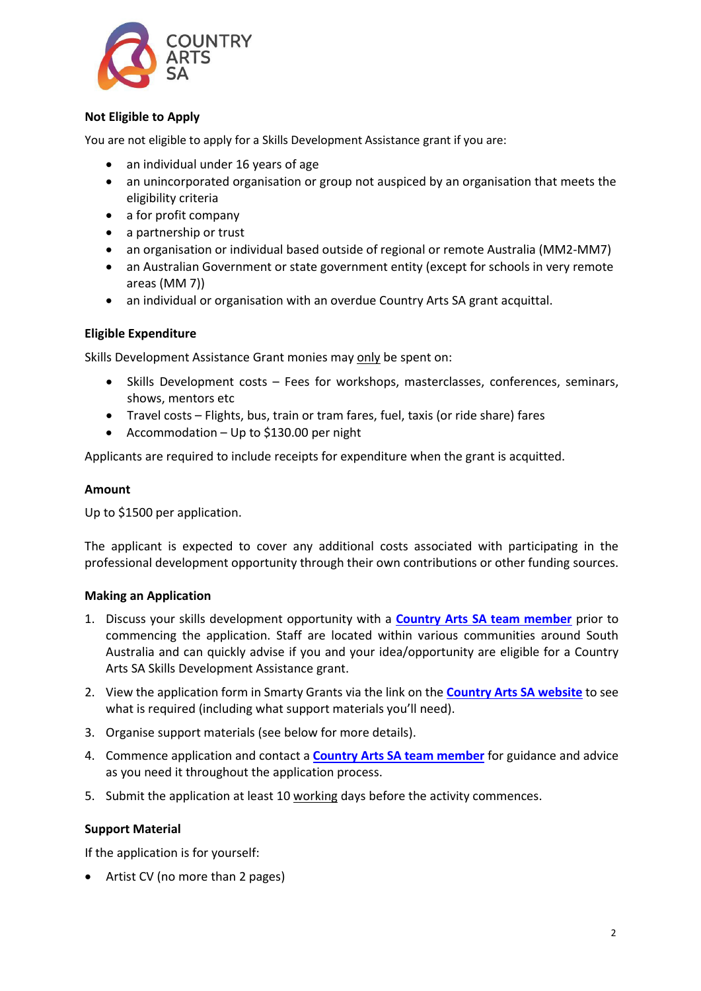

# **Not Eligible to Apply**

You are not eligible to apply for a Skills Development Assistance grant if you are:

- an individual under 16 years of age
- an unincorporated organisation or group not auspiced by an organisation that meets the eligibility criteria
- a for profit company
- a partnership or trust
- an organisation or individual based outside of regional or remote Australia (MM2-MM7)
- an Australian Government or state government entity (except for schools in very remote areas (MM 7))
- an individual or organisation with an overdue Country Arts SA grant acquittal.

#### **Eligible Expenditure**

Skills Development Assistance Grant monies may only be spent on:

- Skills Development costs Fees for workshops, masterclasses, conferences, seminars, shows, mentors etc
- Travel costs Flights, bus, train or tram fares, fuel, taxis (or ride share) fares
- Accommodation Up to \$130.00 per night

Applicants are required to include receipts for expenditure when the grant is acquitted.

#### **Amount**

Up to \$1500 per application.

The applicant is expected to cover any additional costs associated with participating in the professional development opportunity through their own contributions or other funding sources.

#### **Making an Application**

- 1. Discuss your skills development opportunity with a **[Country Arts SA team member](https://www.countryarts.org.au/grants/grants-contacts/)** prior to commencing the application. Staff are located within various communities around South Australia and can quickly advise if you and your idea/opportunity are eligible for a Country Arts SA Skills Development Assistance grant.
- 2. View the application form in Smarty Grants via the link on the **[Country Arts SA website](https://www.countryarts.org.au/grants/grants/skills-development-grant-country-arts-sa/)** to see what is required (including what support materials you'll need).
- 3. Organise support materials (see below for more details).
- 4. Commence application and contact a **[Country Arts SA team member](https://www.countryarts.org.au/grants/grants-contacts/)** for guidance and advice as you need it throughout the application process.
- 5. Submit the application at least 10 working days before the activity commences.

#### **Support Material**

If the application is for yourself:

• Artist CV (no more than 2 pages)